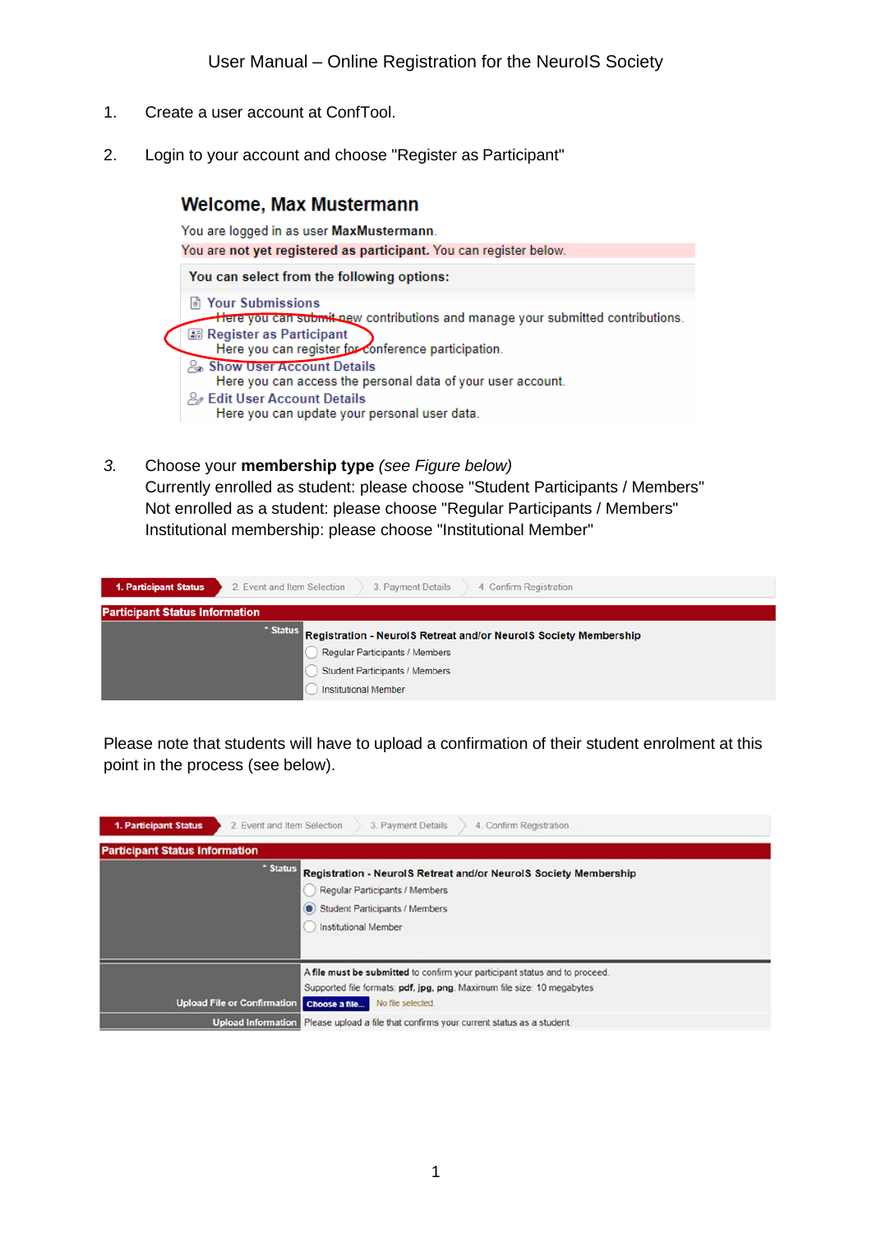- 1. Create a user account at ConfTool.
- 2. Login to your account and choose "Register as Participant"

# **Welcome, Max Mustermann** You are logged in as user MaxMustermann. You are not yet registered as participant. You can register below. You can select from the following options: **■ Your Submissions** Here you can submit new contributions and manage your submitted contributions. Register as Participant Here you can register for conference participation. & Show User Account Details Here you can access the personal data of your user account. **2** Edit User Account Details Here you can update your personal user data.

*3.* Choose your **membership type** *(see Figure below)* Currently enrolled as student: please choose "Student Participants / Members" Not enrolled as a student: please choose "Regular Participants / Members" Institutional membership: please choose "Institutional Member"

| 1. Participant Status                 | 2. Event and Item Selection<br>4. Confirm Registration<br>3. Payment Details                                                                                                                  |
|---------------------------------------|-----------------------------------------------------------------------------------------------------------------------------------------------------------------------------------------------|
| <b>Participant Status Information</b> |                                                                                                                                                                                               |
|                                       | * Status<br>Registration - NeurolS Retreat and/or NeurolS Society Membership<br><b>Regular Participants / Members</b><br><b>Student Participants / Members</b><br><b>Institutional Member</b> |

Please note that students will have to upload a confirmation of their student enrolment at this point in the process (see below).

| 1. Participant Status<br>2. Event and Item Selection<br>3. Payment Details<br>4. Confirm Registration |                                                                                                                                                                          |  |  |  |
|-------------------------------------------------------------------------------------------------------|--------------------------------------------------------------------------------------------------------------------------------------------------------------------------|--|--|--|
| <b>Participant Status Information</b>                                                                 |                                                                                                                                                                          |  |  |  |
|                                                                                                       | * Status<br>Registration - NeurolS Retreat and/or NeurolS Society Membership<br>Regular Participants / Members<br>Student Participants / Members<br>Institutional Member |  |  |  |
|                                                                                                       | A file must be submitted to confirm your participant status and to proceed.<br>Supported file formats: pdf, jpg, png. Maximum file size: 10 megabytes                    |  |  |  |
| <b>Upload File or Confirmation</b>                                                                    | No file selected.<br>Choose a file                                                                                                                                       |  |  |  |
| <b>Upload Information</b>                                                                             | Please upload a file that confirms your current status as a student.                                                                                                     |  |  |  |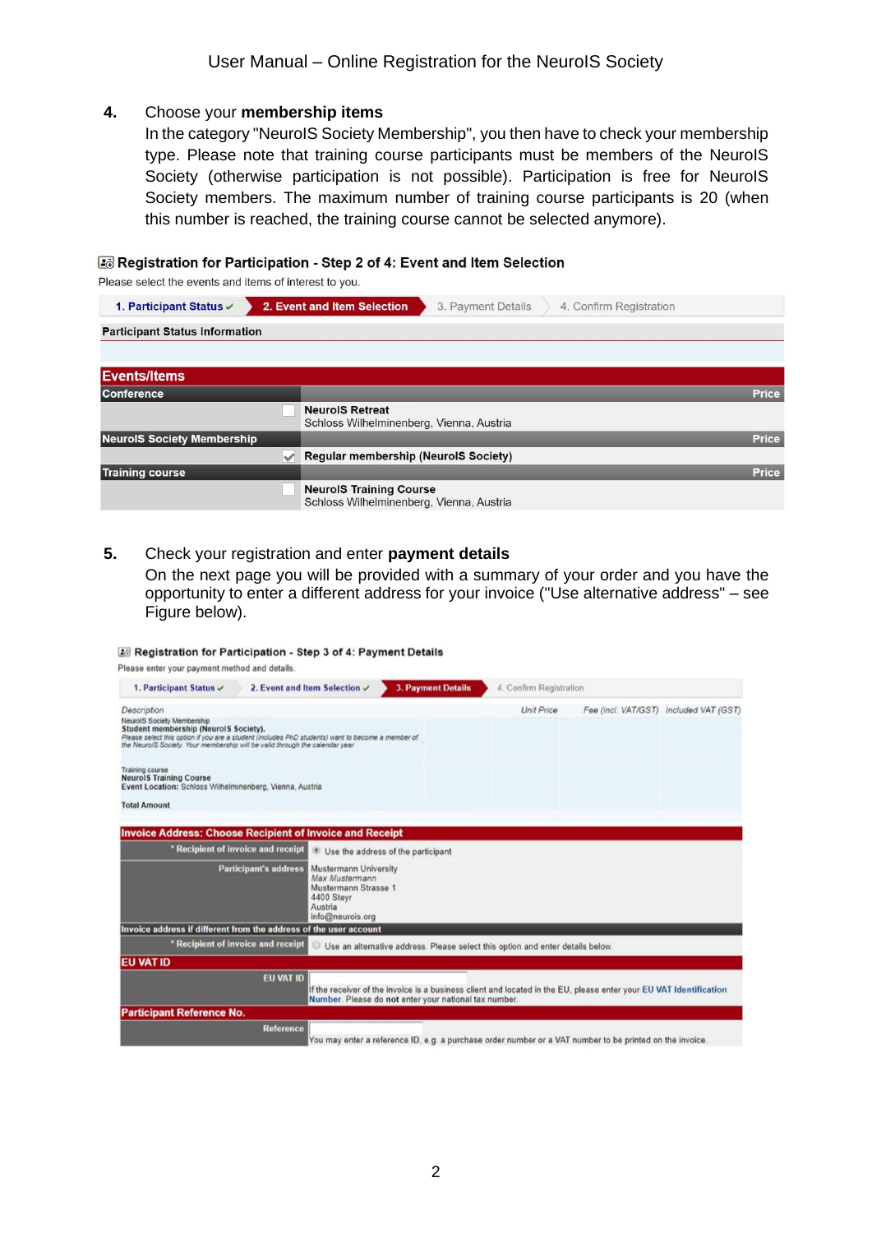### **4.** Choose your **membership items**

In the category "NeuroIS Society Membership", you then have to check your membership type. Please note that training course participants must be members of the NeuroIS Society (otherwise participation is not possible). Participation is free for NeuroIS Society members. The maximum number of training course participants is 20 (when this number is reached, the training course cannot be selected anymore).

#### Registration for Participation - Step 2 of 4: Event and Item Selection

Please select the events and items of interest to you.

| 1. Participant Status v               | 2. Event and Item Selection<br>3. Payment Details<br>4. Confirm Registration |              |
|---------------------------------------|------------------------------------------------------------------------------|--------------|
| <b>Participant Status Information</b> |                                                                              |              |
|                                       |                                                                              |              |
| <b>Events/Items</b>                   |                                                                              |              |
| <b>Conference</b>                     |                                                                              | <b>Price</b> |
|                                       | <b>NeurolS Retreat</b><br>Schloss Wilhelminenberg, Vienna, Austria           |              |
| <b>NeurolS Society Membership</b>     |                                                                              | <b>Price</b> |
|                                       | $\sqrt{\phantom{a}}$ Regular membership (NeurolS Society)                    |              |
| <b>Training course</b>                |                                                                              | <b>Price</b> |
|                                       | <b>NeurolS Training Course</b><br>Schloss Wilhelminenberg, Vienna, Austria   |              |

#### **5.** Check your registration and enter **payment details**

On the next page you will be provided with a summary of your order and you have the opportunity to enter a different address for your invoice ("Use alternative address" – see Figure below).

#### Registration for Participation - Step 3 of 4: Payment Details

| Please enter your payment method and details.                                                                                                                                                                                                                    |                                                                                                          |  |  |
|------------------------------------------------------------------------------------------------------------------------------------------------------------------------------------------------------------------------------------------------------------------|----------------------------------------------------------------------------------------------------------|--|--|
| 2. Event and Item Selection $\checkmark$<br>1. Participant Status $\checkmark$                                                                                                                                                                                   | <b>3. Payment Details</b><br>4. Confirm Registration                                                     |  |  |
| Description                                                                                                                                                                                                                                                      | Fee (incl. VAT/GST) Included VAT (GST)<br><b>Unit Price</b>                                              |  |  |
| <b>NeurolS Society Membership</b><br>Student membership (Neurol S Society).<br>Please select this option if you are a student (includes PhD students) want to become a member of<br>the NeurolS Society. Your membership will be valid through the calendar year |                                                                                                          |  |  |
| <b>Training course</b><br><b>NeurolS Training Course</b><br>Event Location: Schloss Wilhelminenberg, Vienna, Austria                                                                                                                                             |                                                                                                          |  |  |
| <b>Total Amount</b>                                                                                                                                                                                                                                              |                                                                                                          |  |  |
| <b>Invoice Address: Choose Recipient of Invoice and Receipt</b>                                                                                                                                                                                                  |                                                                                                          |  |  |
| * Recipient of invoice and receipt<br>· Use the address of the participant                                                                                                                                                                                       |                                                                                                          |  |  |
| <b>Participant's address</b><br><b>Mustermann University</b><br>Max Mustermann<br>Mustermann Strasse 1<br>4400 Steyr<br>Austria<br>info@neurois.org                                                                                                              |                                                                                                          |  |  |
| Invoice address if different from the address of the user account                                                                                                                                                                                                |                                                                                                          |  |  |
| * Recipient of invoice and receipt<br>Use an alternative address. Please select this option and enter details below.                                                                                                                                             |                                                                                                          |  |  |
| <b>EU VAT ID</b>                                                                                                                                                                                                                                                 |                                                                                                          |  |  |
| <b>EU VAT ID</b><br>If the receiver of the invoice is a business client and located in the EU, please enter your EU VAT Identification<br>Number. Please do not enter your national tax number.                                                                  |                                                                                                          |  |  |
| <b>Participant Reference No.</b>                                                                                                                                                                                                                                 |                                                                                                          |  |  |
| <b>Reference</b>                                                                                                                                                                                                                                                 | You may enter a reference ID, e.g. a purchase order number or a VAT number to be printed on the invoice. |  |  |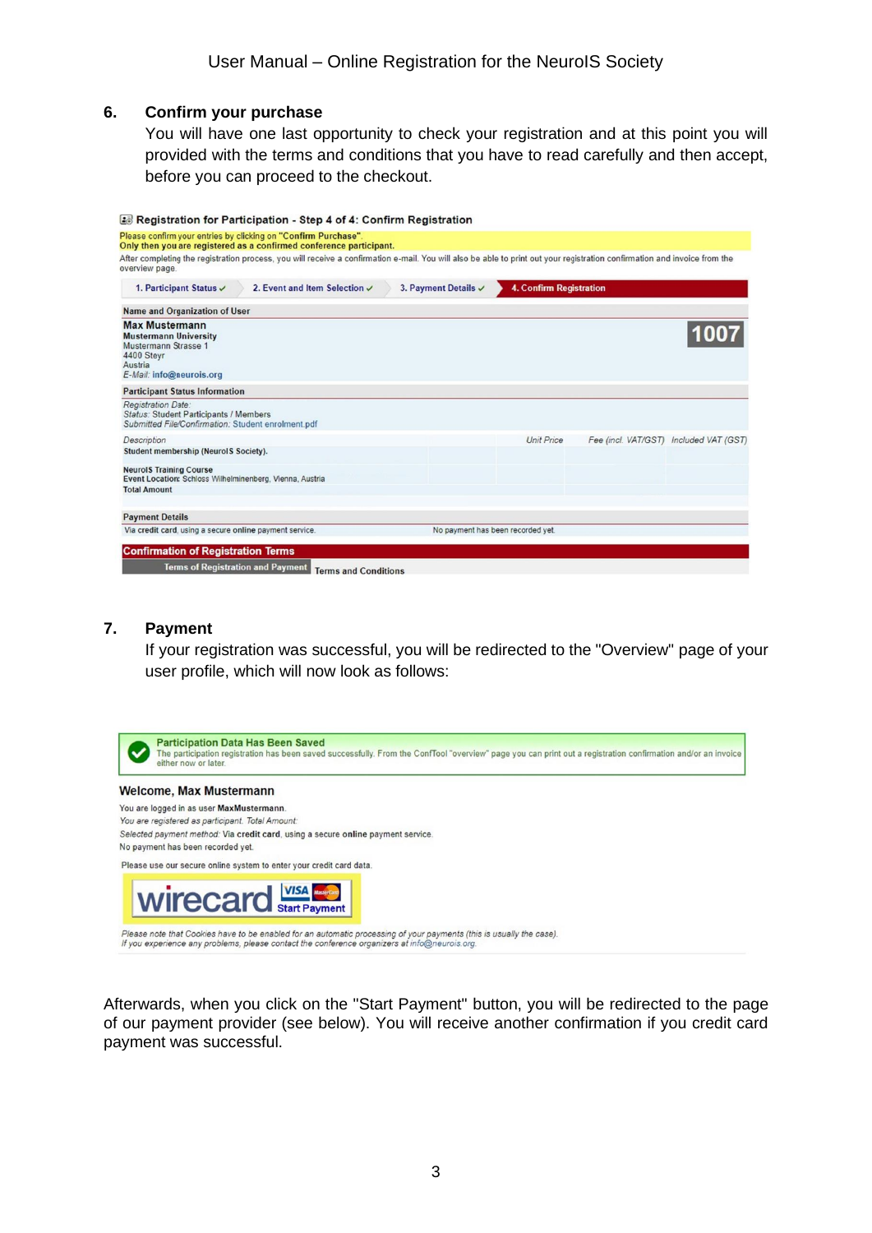### **6. Confirm your purchase**

You will have one last opportunity to check your registration and at this point you will provided with the terms and conditions that you have to read carefully and then accept, before you can proceed to the checkout.

|                                                                                                                                    | Registration for Participation - Step 4 of 4: Confirm Registration                                                                                                        |                                 |                                   |  |                                        |
|------------------------------------------------------------------------------------------------------------------------------------|---------------------------------------------------------------------------------------------------------------------------------------------------------------------------|---------------------------------|-----------------------------------|--|----------------------------------------|
|                                                                                                                                    | Please confirm your entries by clicking on "Confirm Purchase".<br>Only then you are registered as a confirmed conference participant.                                     |                                 |                                   |  |                                        |
| overview page.                                                                                                                     | After completing the registration process, you will receive a confirmation e-mail. You will also be able to print out your registration confirmation and invoice from the |                                 |                                   |  |                                        |
| 1. Participant Status V                                                                                                            | 2. Event and Item Selection $\checkmark$                                                                                                                                  | 3. Payment Details $\checkmark$ | <b>4. Confirm Registration</b>    |  |                                        |
| Name and Organization of User                                                                                                      |                                                                                                                                                                           |                                 |                                   |  |                                        |
| <b>Max Mustermann</b><br><b>Mustermann University</b><br>Mustermann Strasse 1<br>4400 Stevr<br>Austria<br>E-Mail: info@neurois.org |                                                                                                                                                                           |                                 |                                   |  |                                        |
| <b>Participant Status Information</b>                                                                                              |                                                                                                                                                                           |                                 |                                   |  |                                        |
| <b>Registration Date:</b><br>Status: Student Participants / Members<br>Submitted File/Confirmation: Student enrolment.pdf          |                                                                                                                                                                           |                                 |                                   |  |                                        |
| Description                                                                                                                        |                                                                                                                                                                           |                                 | <b>Unit Price</b>                 |  | Fee (incl. VAT/GST) Included VAT (GST) |
| Student membership (Neurol S Society).                                                                                             |                                                                                                                                                                           |                                 |                                   |  |                                        |
| <b>NeurolS Training Course</b><br>Event Location: Schloss Wilhelminenberg, Vienna, Austria                                         |                                                                                                                                                                           |                                 |                                   |  |                                        |
| <b>Total Amount</b>                                                                                                                |                                                                                                                                                                           |                                 |                                   |  |                                        |
| <b>Payment Details</b>                                                                                                             |                                                                                                                                                                           |                                 |                                   |  |                                        |
| Via credit card, using a secure online payment service.                                                                            |                                                                                                                                                                           |                                 | No payment has been recorded yet. |  |                                        |
| <b>Confirmation of Registration Terms</b>                                                                                          |                                                                                                                                                                           |                                 |                                   |  |                                        |
| <b>Terms of Registration and Payment</b>                                                                                           |                                                                                                                                                                           |                                 |                                   |  |                                        |
|                                                                                                                                    | <b>Terms and Conditions</b>                                                                                                                                               |                                 |                                   |  |                                        |

## **7. Payment**

If your registration was successful, you will be redirected to the "Overview" page of your user profile, which will now look as follows:



Afterwards, when you click on the "Start Payment" button, you will be redirected to the page of our payment provider (see below). You will receive another confirmation if you credit card payment was successful.